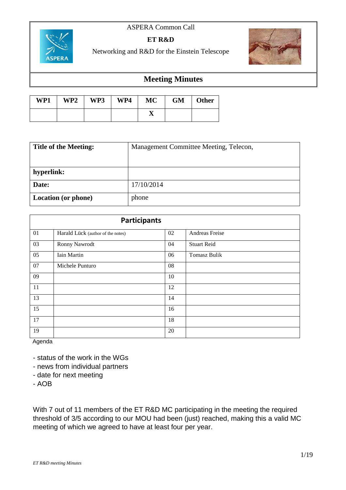## ASPERA Common Call



## **ET R&D**

Networking and R&D for the Einstein Telescope



# **Meeting Minutes**

| WP1 | WP2 | WP3 | WP4 | <b>MC</b> | <b>GM</b> | <b>Other</b> |
|-----|-----|-----|-----|-----------|-----------|--------------|
|     |     |     |     | ▴         |           |              |

| <b>Title of the Meeting:</b> | Management Committee Meeting, Telecon, |
|------------------------------|----------------------------------------|
|                              |                                        |
| hyperlink:                   |                                        |
| Date:                        | 17/10/2014                             |
| <b>Location (or phone)</b>   | phone                                  |

| <b>Participants</b> |                                   |    |                     |  |  |  |
|---------------------|-----------------------------------|----|---------------------|--|--|--|
| 01                  | Harald Lück (author of the notes) | 02 | Andreas Freise      |  |  |  |
| 03                  | Ronny Nawrodt                     | 04 | <b>Stuart Reid</b>  |  |  |  |
| 05                  | Iain Martin                       | 06 | <b>Tomasz Bulik</b> |  |  |  |
| 07                  | Michele Punturo                   | 08 |                     |  |  |  |
| 09                  |                                   | 10 |                     |  |  |  |
| 11                  |                                   | 12 |                     |  |  |  |
| 13                  |                                   | 14 |                     |  |  |  |
| 15                  |                                   | 16 |                     |  |  |  |
| 17                  |                                   | 18 |                     |  |  |  |
| 19                  |                                   | 20 |                     |  |  |  |

Agenda

- status of the work in the WGs

- news from individual partners
- date for next meeting

- AOB

With 7 out of 11 members of the ET R&D MC participating in the meeting the required threshold of 3/5 according to our MOU had been (just) reached, making this a valid MC meeting of which we agreed to have at least four per year.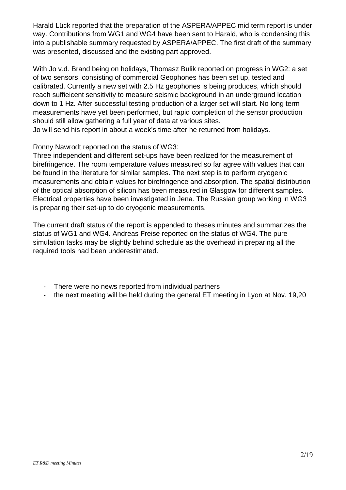Harald Lück reported that the preparation of the ASPERA/APPEC mid term report is under way. Contributions from WG1 and WG4 have been sent to Harald, who is condensing this into a publishable summary requested by ASPERA/APPEC. The first draft of the summary was presented, discussed and the existing part approved.

With Jo v.d. Brand being on holidays, Thomasz Bulik reported on progress in WG2: a set of two sensors, consisting of commercial Geophones has been set up, tested and calibrated. Currently a new set with 2.5 Hz geophones is being produces, which should reach suffieicent sensitivity to measure seismic background in an underground location down to 1 Hz. After successful testing production of a larger set will start. No long term measurements have yet been performed, but rapid completion of the sensor production should still allow gathering a full year of data at various sites.

Jo will send his report in about a week's time after he returned from holidays.

Ronny Nawrodt reported on the status of WG3:

Three independent and different set-ups have been realized for the measurement of birefringence. The room temperature values measured so far agree with values that can be found in the literature for similar samples. The next step is to perform cryogenic measurements and obtain values for birefringence and absorption. The spatial distribution of the optical absorption of silicon has been measured in Glasgow for different samples. Electrical properties have been investigated in Jena. The Russian group working in WG3 is preparing their set-up to do cryogenic measurements.

The current draft status of the report is appended to theses minutes and summarizes the status of WG1 and WG4. Andreas Freise reported on the status of WG4. The pure simulation tasks may be slightly behind schedule as the overhead in preparing all the required tools had been underestimated.

- There were no news reported from individual partners
- the next meeting will be held during the general ET meeting in Lyon at Nov. 19,20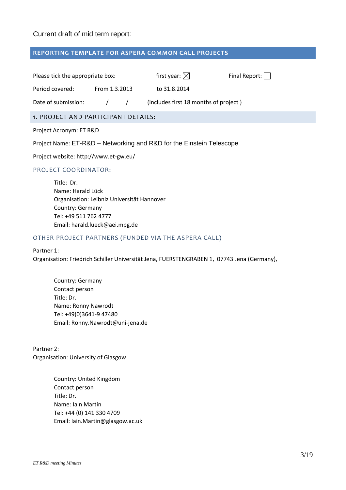## Current draft of mid term report:

#### **REPORTING TEMPLATE FOR ASPERA COMMON CALL PROJECTS**

| Please tick the appropriate box:     |  |                                       | first year: $\boxtimes$ | Final Report: |  |  |  |
|--------------------------------------|--|---------------------------------------|-------------------------|---------------|--|--|--|
| Period covered:<br>From 1.3.2013     |  |                                       | to 31.8.2014            |               |  |  |  |
| Date of submission:<br>$\frac{1}{2}$ |  | (includes first 18 months of project) |                         |               |  |  |  |
| 1. PROJECT AND PARTICIPANT DETAILS:  |  |                                       |                         |               |  |  |  |
| Project Acronym: ET R&D              |  |                                       |                         |               |  |  |  |

Project Name: ET-R&D – Networking and R&D for the Einstein Telescope

Project website: http://www.et-gw.eu/

#### PROJECT COORDINATOR:

Title: Dr. Name: Harald Lück Organisation: Leibniz Universität Hannover Country: Germany Tel: +49 511 762 4777 Email: harald.lueck@aei.mpg.de

#### OTHER PROJECT PARTNERS (FUNDED VIA THE ASPERA CALL)

#### Partner 1:

Organisation: Friedrich Schiller Universität Jena, FUERSTENGRABEN 1, 07743 Jena (Germany),

Country: Germany Contact person Title: Dr. Name: Ronny Nawrodt Tel: +49(0)3641-9 47480 Email: Ronny.Nawrodt@uni-jena.de

Partner 2: Organisation: University of Glasgow

> Country: United Kingdom Contact person Title: Dr. Name: Iain Martin Tel: +44 (0) 141 330 4709 Email: Iain.Martin@glasgow.ac.uk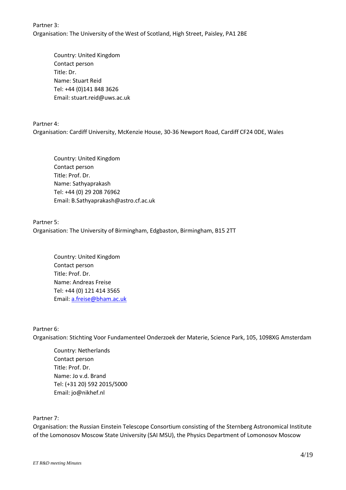Partner 3: Organisation: The University of the West of Scotland, High Street, Paisley, PA1 2BE

Country: United Kingdom Contact person Title: Dr. Name: Stuart Reid Tel: +44 (0)141 848 3626 Email: stuart.reid@uws.ac.uk

Partner 4:

Organisation: Cardiff University, McKenzie House, 30-36 Newport Road, Cardiff CF24 0DE, Wales

Country: United Kingdom Contact person Title: Prof. Dr. Name: Sathyaprakash Tel: +44 (0) 29 208 76962 Email: B.Sathyaprakash@astro.cf.ac.uk

Partner 5: Organisation: The University of Birmingham, Edgbaston, Birmingham, B15 2TT

Country: United Kingdom Contact person Title: Prof. Dr. Name: Andreas Freise Tel: +44 (0) 121 414 3565 Email[: a.freise@bham.ac.uk](mailto:a.freise@bham.ac.uk)

### Partner 6:

Organisation: Stichting Voor Fundamenteel Onderzoek der Materie, Science Park, 105, 1098XG Amsterdam

Country: Netherlands Contact person Title: Prof. Dr. Name: Jo v.d. Brand Tel: (+31 20) 592 2015/5000 Email: jo@nikhef.nl

## Partner 7:

Organisation: the Russian Einstein Telescope Consortium consisting of the Sternberg Astronomical Institute of the Lomonosov Moscow State University (SAI MSU), the Physics Department of Lomonosov Moscow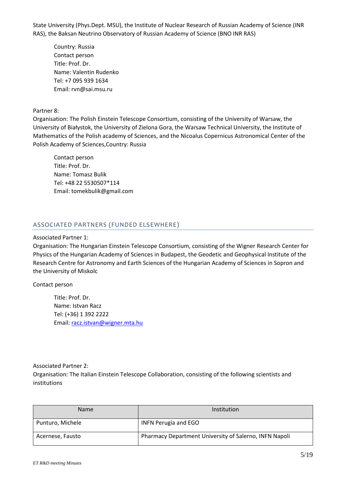State University (Phys.Dept. MSU), the Institute of Nuclear Research of Russian Academy of Science (INR RAS), the Baksan Neutrino Observatory of Russian Academy of Science (BNO INR RAS)

Country: Russia Contact person Title: Prof. Dr. Name: Valentin Rudenko Tel: +7 095 939 1634 Email: rvn@sai.msu.ru

### Partner 8:

Organisation: The Polish Einstein Telescope Consortium, consisting of the University of Warsaw, the University of Białystok, the University of Zielona Gora, the Warsaw Technical University, the Institute of Mathematics of the Polish academy of Sciences, and the Nicoalus Copernicus Astronomical Center of the Polish Academy of Sciences,Country: Russia

Contact person Title: Prof. Dr. Name: Tomasz Bulik Tel: +48 22 5530507\*114 Email: tomekbulik@gmail.com

## ASSOCIATED PARTNERS (FUNDED ELSEWHERE)

#### Associated Partner 1:

Organisation: The Hungarian Einstein Telescope Consortium, consisting of the Wigner Research Center for Physics of the Hungarian Academy of Sciences in Budapest, the Geodetic and Geophysical Institute of the Research Centre for Astronomy and Earth Sciences of the Hungarian Academy of Sciences in Sopron and the University of Miskolc

#### Contact person

Title: Prof. Dr. Name: Istvan Racz Tel: (+36) 1 392 2222 Email[: racz.istvan@wigner.mta.hu](mailto:racz.istvan@wigner.mta.hu)

#### Associated Partner 2:

Organisation: The Italian Einstein Telescope Collaboration, consisting of the following scientists and institutions

| <b>Name</b>      | Institution                                            |  |  |
|------------------|--------------------------------------------------------|--|--|
| Punturo, Michele | INFN Perugia and EGO                                   |  |  |
| Acernese, Fausto | Pharmacy Department University of Salerno, INFN Napoli |  |  |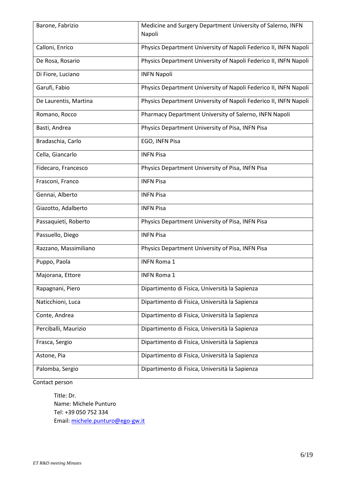| Barone, Fabrizio      | Medicine and Surgery Department University of Salerno, INFN<br>Napoli |  |  |
|-----------------------|-----------------------------------------------------------------------|--|--|
| Calloni, Enrico       | Physics Department University of Napoli Federico II, INFN Napoli      |  |  |
| De Rosa, Rosario      | Physics Department University of Napoli Federico II, INFN Napoli      |  |  |
| Di Fiore, Luciano     | <b>INFN Napoli</b>                                                    |  |  |
| Garufi, Fabio         | Physics Department University of Napoli Federico II, INFN Napoli      |  |  |
| De Laurentis, Martina | Physics Department University of Napoli Federico II, INFN Napoli      |  |  |
| Romano, Rocco         | Pharmacy Department University of Salerno, INFN Napoli                |  |  |
| Basti, Andrea         | Physics Department University of Pisa, INFN Pisa                      |  |  |
| Bradaschia, Carlo     | EGO, INFN Pisa                                                        |  |  |
| Cella, Giancarlo      | <b>INFN Pisa</b>                                                      |  |  |
| Fidecaro, Francesco   | Physics Department University of Pisa, INFN Pisa                      |  |  |
| Frasconi, Franco      | <b>INFN Pisa</b>                                                      |  |  |
| Gennai, Alberto       | <b>INFN Pisa</b>                                                      |  |  |
| Giazotto, Adalberto   | <b>INFN Pisa</b>                                                      |  |  |
| Passaquieti, Roberto  | Physics Department University of Pisa, INFN Pisa                      |  |  |
| Passuello, Diego      | <b>INFN Pisa</b>                                                      |  |  |
| Razzano, Massimiliano | Physics Department University of Pisa, INFN Pisa                      |  |  |
| Puppo, Paola          | <b>INFN Roma 1</b>                                                    |  |  |
| Majorana, Ettore      | <b>INFN Roma 1</b>                                                    |  |  |
| Rapagnani, Piero      | Dipartimento di Fisica, Università la Sapienza                        |  |  |
| Naticchioni, Luca     | Dipartimento di Fisica, Università la Sapienza                        |  |  |
| Conte, Andrea         | Dipartimento di Fisica, Università la Sapienza                        |  |  |
| Perciballi, Maurizio  | Dipartimento di Fisica, Università la Sapienza                        |  |  |
| Frasca, Sergio        | Dipartimento di Fisica, Università la Sapienza                        |  |  |
| Astone, Pia           | Dipartimento di Fisica, Università la Sapienza                        |  |  |
| Palomba, Sergio       | Dipartimento di Fisica, Università la Sapienza                        |  |  |

Contact person

Title: Dr. Name: Michele Punturo Tel: +39 050 752 334 Email[: michele.punturo@ego-gw.it](mailto:michele.punturo@ego-gw.it)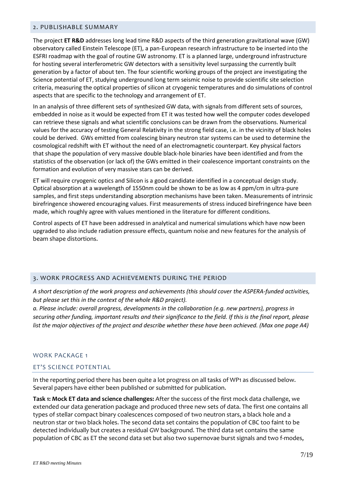#### 2. PUBLISHABLE SUMMARY

The project **ET R&D** addresses long lead time R&D aspects of the third generation gravitational wave (GW) observatory called Einstein Telescope (ET), a pan-European research infrastructure to be inserted into the ESFRI roadmap with the goal of routine GW astronomy. ET is a planned large, underground infrastructure for hosting several interferometric GW detectors with a sensitivity level surpassing the currently built generation by a factor of about ten. The four scientific working groups of the project are investigating the Science potential of ET, studying underground long term seismic noise to provide scientific site selection criteria, measuring the optical properties of silicon at cryogenic temperatures and do simulations of control aspects that are specific to the technology and arrangement of ET.

In an analysis of three different sets of synthesized GW data, with signals from different sets of sources, embedded in noise as it would be expected from ET it was tested how well the computer codes developed can retrieve these signals and what scientific conclusions can be drawn from the observations. Numerical values for the accuracy of testing General Relativity in the strong field case, i.e. in the vicinity of black holes could be derived. GWs emitted from coalescing binary neutron star systems can be used to determine the cosmological redshift with ET without the need of an electromagnetic counterpart. Key physical factors that shape the population of very massive double black-hole binaries have been identified and from the statistics of the observation (or lack of) the GWs emitted in their coalescence important constraints on the formation and evolution of very massive stars can be derived.

ET will require cryogenic optics and Silicon is a good candidate identified in a conceptual design study. Optical absorption at a wavelength of 1550nm could be shown to be as low as 4 ppm/cm in ultra-pure samples, and first steps understanding absorption mechanisms have been taken. Measurements of intrinsic birefringence showered encouraging values. First measurements of stress induced birefringence have been made, which roughly agree with values mentioned in the literature for different conditions.

Control aspects of ET have been addressed in analytical and numerical simulations which have now been upgraded to also include radiation pressure effects, quantum noise and new features for the analysis of beam shape distortions.

#### 3. WORK PROGRESS AND ACHIEVEMENTS DURING THE PERIOD

*A short description of the work progress and achievements (this should cover the ASPERA-funded activities, but please set this in the context of the whole R&D project).*

*a. Please include: overall progress, developments in the collaboration (e.g. new partners), progress in securing other funding, important results and their significance to the field. If this is the final report, please list the major objectives of the project and describe whether these have been achieved. (Max one page A4)*

#### WORK PACKAGE 1

#### ET'S SCIENCE POTENTIAL

In the reporting period there has been quite a lot progress on all tasks of WP1 as discussed below. Several papers have either been published or submitted for publication.

**Task 1: Mock ET data and science challenges:** After the success of the first mock data challenge, we extended our data generation package and produced three new sets of data. The first one contains all types of stellar compact binary coalescences composed of two neutron stars, a black hole and a neutron star or two black holes. The second data set contains the population of CBC too faint to be detected individually but creates a residual GW background. The third data set contains the same population of CBC as ET the second data set but also two supernovae burst signals and two f-modes,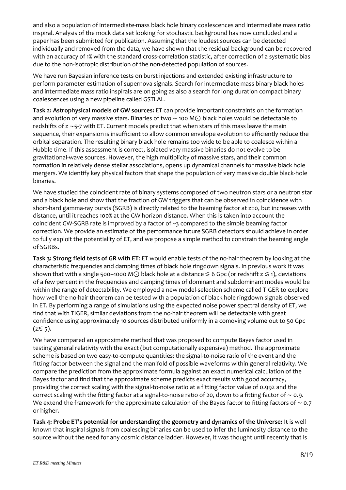and also a population of intermediate-mass black hole binary coalescences and intermediate mass ratio inspiral. Analysis of the mock data set looking for stochastic background has now concluded and a paper has been submitted for publication. Assuming that the loudest sources can be detected individually and removed from the data, we have shown that the residual background can be recovered with an accuracy of 1% with the standard cross-correlation statistic, after correction of a systematic bias due to the non-isotropic distribution of the non-detected population of sources.

We have run Bayesian inference tests on burst injections and extended existing infrastructure to perform parameter estimation of supernova signals. Search for intermediate mass binary black holes and intermediate mass ratio inspirals are on going as also a search for long duration compact binary coalescences using a new pipeline called GSTLAL.

**Task 2: Astrophysical models of GW sources:** ET can provide important constraints on the formation and evolution of very massive stars. Binaries of two ∼ 100 M⊙ black holes would be detectable to redshifts of z ~5-7 with ET. Current models predict that when stars of this mass leave the main sequence, their expansion is insufficient to allow common envelope evolution to efficiently reduce the orbital separation. The resulting binary black hole remains too wide to be able to coalesce within a Hubble time. If this assessment is correct, isolated very massive binaries do not evolve to be gravitational-wave sources. However, the high multiplicity of massive stars, and their common formation in relatively dense stellar associations, opens up dynamical channels for massive black hole mergers. We identify key physical factors that shape the population of very massive double black-hole binaries.

We have studied the coincident rate of binary systems composed of two neutron stars or a neutron star and a black hole and show that the fraction of GW triggers that can be observed in coincidence with short-hard gamma-ray bursts (SGRB) is directly related to the beaming factor at z=0, but increases with distance, until it reaches 100% at the GW horizon distance. When this is taken into account the coincident GW-SGRB rate is improved by a factor of  $\sim$ 3 compared to the simple beaming factor correction. We provide an estimate of the performance future SGRB detectors should achieve in order to fully exploit the potentiality of ET, and we propose a simple method to constrain the beaming angle of SGRBs.

**Task 3: Strong field tests of GR with ET**: ET would enable tests of the no-hair theorem by looking at the characteristic frequencies and damping times of black hole ringdown signals. In previous work it was shown that with a single 500–1000 M $\odot$  black hole at a distance  $\leq 6$  Gpc (or redshift  $z \leq 1$ ), deviations of a few percent in the frequencies and damping times of dominant and subdominant modes would be within the range of detectability. We employed a new model-selection scheme called TIGER to explore how well the no-hair theorem can be tested with a population of black hole ringdown signals observed in ET. By performing a range of simulations using the expected noise power spectral density of ET, we find that with TIGER, similar deviations from the no-hair theorem will be detectable with great confidence using approximately 10 sources distributed uniformly in a comoving volume out to 50 Gpc  $(z \leq 5)$ .

We have compared an approximate method that was proposed to compute Bayes factor used in testing general relativity with the exact (but computationally expensive) method. The approximate scheme is based on two easy-to-compute quantities: the signal-to-noise ratio of the event and the fitting factor between the signal and the manifold of possible waveforms within general relativity. We compare the prediction from the approximate formula against an exact numerical calculation of the Bayes factor and find that the approximate scheme predicts exact results with good accuracy, providing the correct scaling with the signal-to-noise ratio at a fitting factor value of 0.992 and the correct scaling with the fitting factor at a signal-to-noise ratio of 20, down to a fitting factor of ∼ 0.9. We extend the framework for the approximate calculation of the Bayes factor to fitting factors of ∼ 0.7 or higher.

**Task 4: Probe ET's potential for understanding the geometry and dynamics of the Universe:** It is well known that inspiral signals from coalescing binaries can be used to infer the luminosity distance to the source without the need for any cosmic distance ladder. However, it was thought until recently that is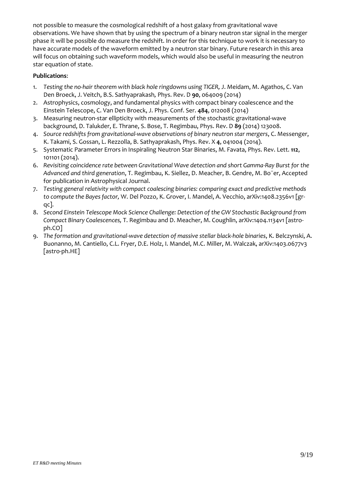not possible to measure the cosmological redshift of a host galaxy from gravitational wave observations. We have shown that by using the spectrum of a binary neutron star signal in the merger phase it will be possible do measure the redshift. In order for this technique to work it is necessary to have accurate models of the waveform emitted by a neutron star binary. Future research in this area will focus on obtaining such waveform models, which would also be useful in measuring the neutron star equation of state.

## **Publications**:

- 1. *Testing the no-hair theorem with black hole ringdowns using TIGER, J. Meidam, M. Agathos, C. Van* Den Broeck, J. Veitch, B.S. Sathyaprakash*,* Phys. Rev. D **90**, 064009 (2014)
- 2. Astrophysics, cosmology, and fundamental physics with compact binary coalescence and the Einstein Telescope, C. Van Den Broeck, J. Phys. Conf. Ser. **484**, 012008 (2014)
- 3. Measuring neutron-star ellipticity with measurements of the stochastic gravitational-wave background, D. Talukder, E. Thrane, S. Bose, T. Regimbau, Phys. Rev. D **89** (2014) 123008.
- 4. *Source redshifts from gravitational-wave observations of binary neutron star mergers*, C. Messenger, K. Takami, S. Gossan, L. Rezzolla, B. Sathyaprakash, Phys. Rev. X **4**, 041004 (2014).
- 5. Systematic Parameter Errors in Inspiraling Neutron Star Binaries, M. Favata, Phys. Rev. Lett. **112**, 101101 (2014).
- 6. *Revisiting coincidence rate between Gravitational Wave detection and short Gamma-Ray Burst for the Advanced and third generation*, T. Regimbau, K. Siellez, D. Meacher, B. Gendre, M. Bo¨er, Accepted for publication in Astrophysical Journal.
- 7. *Testing general relativity with compact coalescing binaries: comparing exact and predictive methods to compute the Bayes factor,* W. Del Pozzo, K. Grover, I. Mandel, A. Vecchio, arXiv:1408.2356v1 [grqc].
- 8. *Second Einstein Telescope Mock Science Challenge: Detection of the GW Stochastic Background from Compact Binary Coalescences,* T. Regimbau and D. Meacher, M. Coughlin, arXiv:1404.1134v1 [astroph.CO]
- 9. *The formation and gravitational-wave detection of massive stellar black-hole binaries*, K. Belczynski, A. Buonanno, M. Cantiello, C.L. Fryer, D.E. Holz, I. Mandel, M.C. Miller, M. Walczak, arXiv:1403.0677v3 [astro-ph.HE]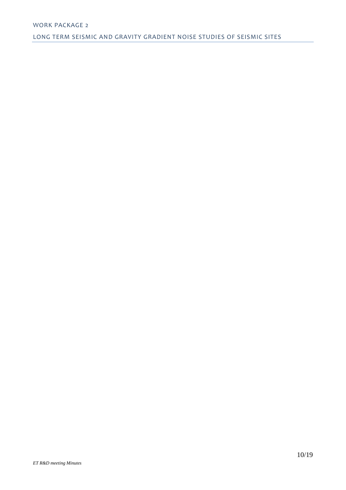### WORK PACKAGE 2

LONG TERM SEISMIC AND GRAVITY GRADIENT NOISE STUDIES OF SEISMIC SITES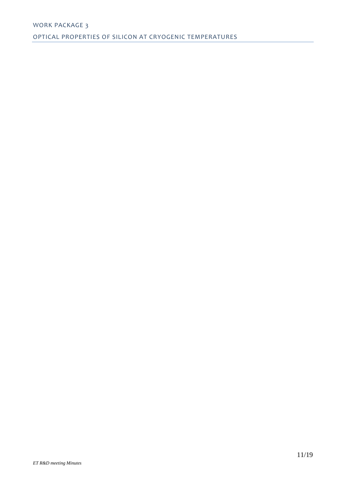## WORK PACKAGE 3

OPTICAL PROPERTIES OF SILICON AT CRYOGENIC TEMPERATURES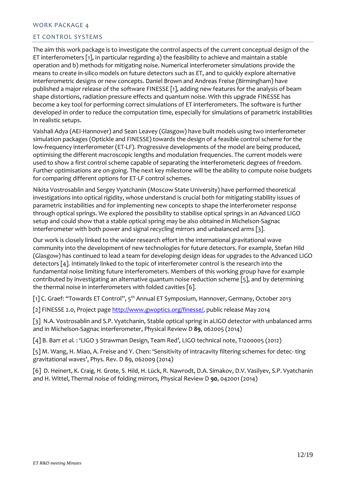#### WORK PACKAGE 4

### ET CONTROL SYSTEMS

The aim this work package is to investigate the control aspects of the current conceptual design of the ET interferometers [1], in particular regarding a) the feasibility to achieve and maintain a stable operation and b) methods for mitigating noise. Numerical interferometer simulations provide the means to create in-silico models on future detectors such as ET, and to quickly explore alternative interferometric designs or new concepts. Daniel Brown and Andreas Freise (Birmingham) have published a major release of the software FINESSE [1], adding new features for the analysis of beam shape distortions, radiation pressure effects and quantum noise. With this upgrade FINESSE has become a key tool for performing correct simulations of ET interferometers. The software is further developed in order to reduce the computation time, especially for simulations of parametric instabilities In realistic setups.

Vaishali Adya (AEI-Hannover) and Sean Leavey (Glasgow) have built models using two interferometer simulation packages (Optickle and FINESSE) towards the design of a feasible control scheme for the low-frequency interferometer (ET-LF). Progressive developments of the model are being produced, optimising the different macroscopic lengths and modulation frequencies. The current models were used to show a first control scheme capable of separating the interferometeric degrees of freedom. Further optimisations are on-going. The next key milestone will be the ability to compute noise budgets for comparing different options for ET-LF control schemes.

Nikita Vostrosablin and Sergey Vyatchanin (Moscow State University) have performed theoretical investigations into optical rigidity, whose understand is crucial both for mitigating stability issues of parametric instabilities and for implementing new concepts to shape the interferometer response through optical springs. We explored the possibility to stabilise optical springs in an Advanced LIGO setup and could show that a stable optical spring may be also obtained in Michelson-Sagnac interferometer with both power and signal recycling mirrors and unbalanced arms [3].

Our work is closely linked to the wider research effort in the international gravitational wave community into the development of new technologies for future detectors. For example, Stefan Hild (Glasgow) has continued to lead a team for developing design ideas for upgrades to the Advanced LIGO detectors [4]. Intimately linked to the topic of interferometer control is the research into the fundamental noise limiting future interferometers. Members of this working group have for example contributed by investigating an alternative quantum noise reduction scheme [5], and by determining the thermal noise in interferometers with folded cavities [6].

[1] C. Graef: "Towards ET Control", 5<sup>th</sup> Annual ET Symposium, Hannover, Germany, October 2013

[2] FINESSE 2.0, Project page [http://www.gwoptics.org/finesse/,](http://www.gwoptics.org/finesse/) public release May 2014

[3] N.A. Vostrosablin and S.P. Vyatchanin, Stable optical spring in aLIGO detector with unbalanced arms and in Michelson-Sagnac interferometer, Physical Review D **89**, 062005 (2014)

[4] B. Barr *et al.* : 'LIGO 3 Strawman Design, Team Red', LIGO technical note, T1200005 (2012)

[5] M. Wang, H. Miao, A. Freise and Y. Chen: 'Sensitivity of intracavity filtering schemes for detec- ting gravitational waves', Phys. Rev. D 89, 062009 (2014)

[6] D. Heinert, K. Craig, H. Grote, S. Hild, H. Lück, R. Nawrodt, D.A. Simakov, D.V. Vasilyev, S.P. Vyatchanin and H. Wittel, Thermal noise of folding mirrors, Physical Review D **90**, 042001 (2014)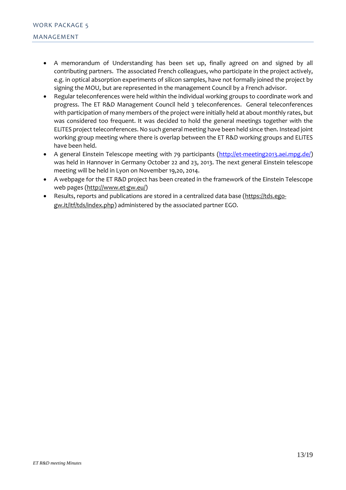- A memorandum of Understanding has been set up, finally agreed on and signed by all contributing partners. The associated French colleagues, who participate in the project actively, e.g. in optical absorption experiments of silicon samples, have not formally joined the project by signing the MOU, but are represented in the management Council by a French advisor.
- Regular teleconferences were held within the individual working groups to coordinate work and progress. The ET R&D Management Council held 3 teleconferences. General teleconferences with participation of many members of the project were initially held at about monthly rates, but was considered too frequent. It was decided to hold the general meetings together with the ELiTES project teleconferences. No such general meeting have been held since then. Instead joint working group meeting where there is overlap between the ET R&D working groups and ELiTES have been held.
- A general Einstein Telescope meeting with 79 participants [\(http://et-meeting2013.aei.mpg.de/\)](http://et-meeting2013.aei.mpg.de/) was held in Hannover in Germany October 22 and 23, 2013. The next general Einstein telescope meeting will be held in Lyon on November 19,20, 2014.
- A webpage for the ET R&D project has been created in the framework of the Einstein Telescope web pages [\(http://www.et-gw.eu/\)](http://www.et-gw.eu/)
- Results, reports and publications are stored in a centralized data base [\(https://tds.ego](https://tds.ego-gw.it/itf/tds/index.php)[gw.it/itf/tds/index.php\)](https://tds.ego-gw.it/itf/tds/index.php) administered by the associated partner EGO.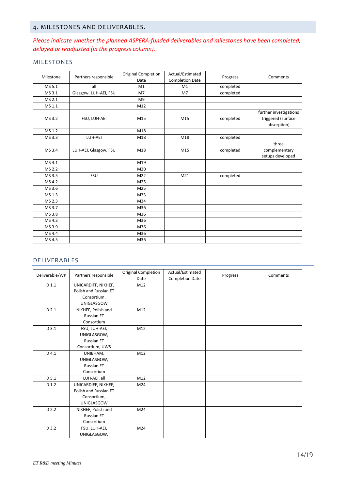## 4. MILESTONES AND DELIVERABLES.

## *Please indicate whether the planned ASPERA-funded deliverables and milestones have been completed, delayed or readjusted (in the progress column).*

### MILESTONES

| Milestone | Partners responsible  | <b>Original Completion</b> | Actual/Estimated       | Progress  | Comments                                                    |
|-----------|-----------------------|----------------------------|------------------------|-----------|-------------------------------------------------------------|
|           |                       | Date                       | <b>Completion Date</b> |           |                                                             |
| MS 5.1    | all                   | M1                         | M1                     | completed |                                                             |
| MS 3.1    | Glasgow, LUH-AEI, FSU | M <sub>7</sub>             | M <sub>7</sub>         | completed |                                                             |
| MS 2.1    |                       | M <sub>9</sub>             |                        |           |                                                             |
| MS 1.1    |                       | M12                        |                        |           |                                                             |
| MS 3.2    | FSU, LUH-AEI          | M15                        | M15                    | completed | further investigations<br>triggered (surface<br>absorption) |
| MS 1.2    |                       | M18                        |                        |           |                                                             |
| MS 3.3    | LUH-AEI               | M18                        | M18                    | completed |                                                             |
| MS 3.4    | LUH-AEI, Glasgow, FSU | M18                        | M15                    | completed | three<br>complementary<br>setups developed                  |
| MS 4.1    |                       | M19                        |                        |           |                                                             |
| MS 2.2    |                       | M20                        |                        |           |                                                             |
| MS 3.5    | <b>FSU</b>            | M22                        | M <sub>21</sub>        | completed |                                                             |
| MS 4.2    |                       | M25                        |                        |           |                                                             |
| MS 3.6    |                       | M25                        |                        |           |                                                             |
| MS 1.3    |                       | M33                        |                        |           |                                                             |
| MS 2.3    |                       | M34                        |                        |           |                                                             |
| MS 3.7    |                       | M36                        |                        |           |                                                             |
| MS 3.8    |                       | M36                        |                        |           |                                                             |
| MS 4.3    |                       | M36                        |                        |           |                                                             |
| MS 3.9    |                       | M36                        |                        |           |                                                             |
| MS 4.4    |                       | M36                        |                        |           |                                                             |
| MS 4.5    |                       | M36                        |                        |           |                                                             |

#### DELIVERABLES

| Deliverable/WP | Partners responsible  | <b>Original Completion</b><br>Date | Actual/Estimated<br><b>Completion Date</b> | Progress | Comments |
|----------------|-----------------------|------------------------------------|--------------------------------------------|----------|----------|
| D 1.1          | UNICARDIFF, NIKHEF,   | M12                                |                                            |          |          |
|                | Polish and Russian ET |                                    |                                            |          |          |
|                | Consortium,           |                                    |                                            |          |          |
|                | <b>UNIGLASGOW</b>     |                                    |                                            |          |          |
| D 2.1          | NIKHEF, Polish and    | M12                                |                                            |          |          |
|                | <b>Russian ET</b>     |                                    |                                            |          |          |
|                | Consortium            |                                    |                                            |          |          |
| D 3.1          | FSU, LUH-AEI,         | M12                                |                                            |          |          |
|                | UNIGLASGOW,           |                                    |                                            |          |          |
|                | <b>Russian ET</b>     |                                    |                                            |          |          |
|                | Consortium, UWS       |                                    |                                            |          |          |
| D 4.1          | UNIBHAM,              | M12                                |                                            |          |          |
|                | UNIGLASGOW,           |                                    |                                            |          |          |
|                | <b>Russian ET</b>     |                                    |                                            |          |          |
|                | Consortium            |                                    |                                            |          |          |
| D 5.1          | LUH-AEI, all          | M12                                |                                            |          |          |
| D 1.2          | UNICARDIFF, NIKHEF,   | M24                                |                                            |          |          |
|                | Polish and Russian ET |                                    |                                            |          |          |
|                | Consortium,           |                                    |                                            |          |          |
|                | <b>UNIGLASGOW</b>     |                                    |                                            |          |          |
| D 2.2          | NIKHEF, Polish and    | M24                                |                                            |          |          |
|                | <b>Russian ET</b>     |                                    |                                            |          |          |
|                | Consortium            |                                    |                                            |          |          |
| D 3.2          | FSU, LUH-AEI,         | M <sub>24</sub>                    |                                            |          |          |
|                | UNIGLASGOW,           |                                    |                                            |          |          |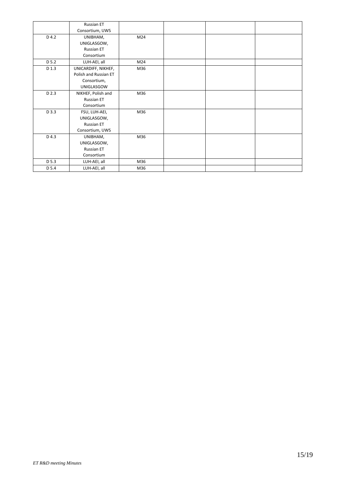|       | Russian ET            |     |  |  |
|-------|-----------------------|-----|--|--|
|       | Consortium, UWS       |     |  |  |
| D 4.2 | UNIBHAM,              | M24 |  |  |
|       | UNIGLASGOW,           |     |  |  |
|       | <b>Russian ET</b>     |     |  |  |
|       | Consortium            |     |  |  |
| D 5.2 | LUH-AEI, all          | M24 |  |  |
| D 1.3 | UNICARDIFF, NIKHEF,   | M36 |  |  |
|       | Polish and Russian ET |     |  |  |
|       | Consortium,           |     |  |  |
|       | UNIGLASGOW            |     |  |  |
| D 2.3 | NIKHEF, Polish and    | M36 |  |  |
|       | Russian ET            |     |  |  |
|       | Consortium            |     |  |  |
| D 3.3 | FSU, LUH-AEI,         | M36 |  |  |
|       | UNIGLASGOW,           |     |  |  |
|       | <b>Russian ET</b>     |     |  |  |
|       | Consortium, UWS       |     |  |  |
| D 4.3 | UNIBHAM,              | M36 |  |  |
|       | UNIGLASGOW,           |     |  |  |
|       | <b>Russian ET</b>     |     |  |  |
|       | Consortium            |     |  |  |
| D 5.3 | LUH-AEI, all          | M36 |  |  |
| D 5.4 | LUH-AEI, all          | M36 |  |  |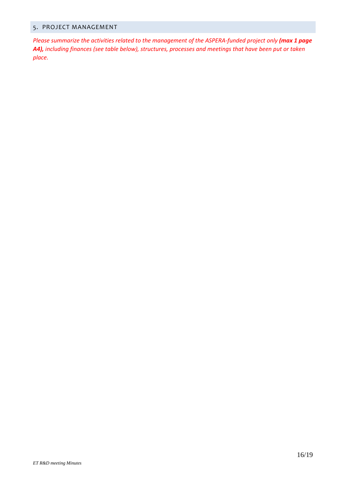## 5. PROJECT MANAGEMENT

*Please summarize the activities related to the management of the ASPERA-funded project only (max 1 page A4), including finances (see table below), structures, processes and meetings that have been put or taken place.*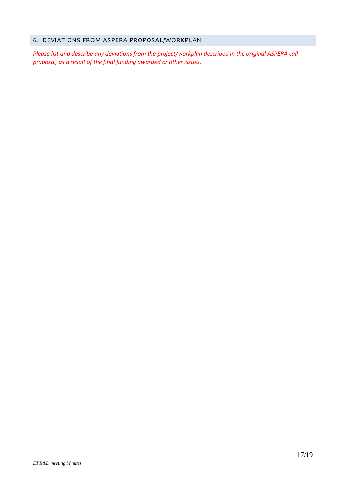## 6. DEVIATIONS FROM ASPERA PROPOSAL/WORKPLAN

*Please list and describe any deviations from the project/workplan described in the original ASPERA call proposal, as a result of the final funding awarded or other issues.*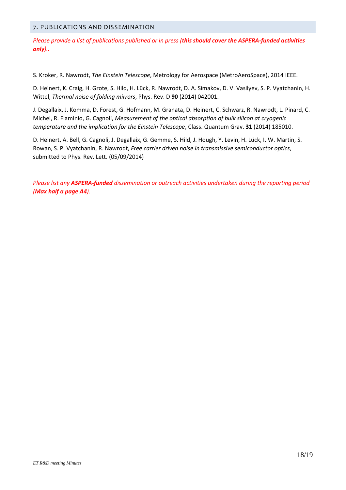#### 7. PUBLICATIONS AND DISSEMINATION

*Please provide a list of publications published or in press (this should cover the ASPERA-funded activities only)..* 

S. Kroker, R. Nawrodt, *The Einstein Telescope*, Metrology for Aerospace (MetroAeroSpace), 2014 IEEE.

D. Heinert, K. Craig, H. Grote, S. Hild, H. Lück, R. Nawrodt, D. A. Simakov, D. V. Vasilyev, S. P. Vyatchanin, H. Wittel, *Thermal noise of folding mirrors*, Phys. Rev. D **90** (2014) 042001.

J. Degallaix, J. Komma, D. Forest, G. Hofmann, M. Granata, D. Heinert, C. Schwarz, R. Nawrodt, L. Pinard, C. Michel, R. Flaminio, G. Cagnoli, *Measurement of the optical absorption of bulk silicon at cryogenic temperature and the implication for the Einstein Telescope*, Class. Quantum Grav. **31** (2014) 185010.

D. Heinert, A. Bell, G. Cagnoli, J. Degallaix, G. Gemme, S. Hild, J. Hough, Y. Levin, H. Lück, I. W. Martin, S. Rowan, S. P. Vyatchanin, R. Nawrodt, *Free carrier driven noise in transmissive semiconductor optics*, submitted to Phys. Rev. Lett. (05/09/2014)

*Please list any ASPERA-funded dissemination or outreach activities undertaken during the reporting period (Max half a page A4).*